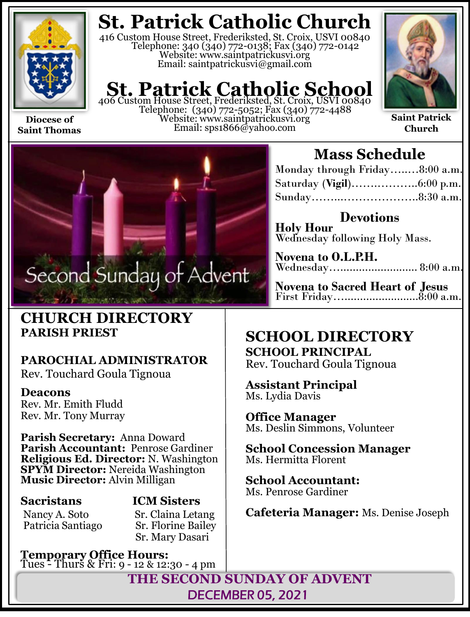

**Saint Thomas**

**St. Patrick Catholic Church**

416 Custom House Street, Frederiksted, St. Croix, USVI 00840 Telephone: 340 (340) 772-0138; Fax (340) 772-0142 Website: www.saintpatrickusvi.org Email: saintpatrickusvi@gmail.com

# **St. Patrick Catholic School**<br>406 Custom House Street, Frederiksted, St. Croix, USVI 00840

Telephone: (340) 772-5052; Fax (340) 772-4488 Website: www.saintpatrickusvi.org Email: sps1866@yahoo.com



**Saint Patrick Church**



# **CHURCH DIRECTORY PARISH PRIEST**

# **PAROCHIAL ADMINISTRATOR**

Rev. Touchard Goula Tignoua

## **Deacons**

Rev. Mr. Emith Fludd Rev. Mr. Tony Murray

**Parish Secretary:** Anna Doward **Parish Accountant:** Penrose Gardiner **Religious Ed. Director:** N. Washington **SPYM Director:** Nereida Washington **Music Director:** Alvin Milligan

Patricia Santiago

# **Sacristans ICM Sisters**

Nancy A. Soto Sr. Claina Letang<br>Patricia Santiago Sr. Florine Bailey Sr. Mary Dasari

**Temporary Office Hours:**  Tues - Thurs & Fri: 9 - 12 & 12:30 - 4 pm

# **Mass Schedule**

| Monday through Friday8:00 a.m. |  |
|--------------------------------|--|
|                                |  |
|                                |  |

**Devotions Holy Hour**  Wednesday following Holy Mass.

**Novena to O.L.P.H.** Wednesday…......................... 8:00 a.m.

**Novena to Sacred Heart of Jesus** First Friday…........................8:00 a.m.

# **SCHOOL DIRECTORY**

**SCHOOL PRINCIPAL** Rev. Touchard Goula Tignoua

**Assistant Principal** Ms. Lydia Davis

**Office Manager** Ms. Deslin Simmons, Volunteer

**School Concession Manager** Ms. Hermitta Florent

**School Accountant:**  Ms. Penrose Gardiner

**Cafeteria Manager:** Ms. Denise Joseph

**THE SECOND SUNDAY OF ADVENT** DECEMBER 05, 2021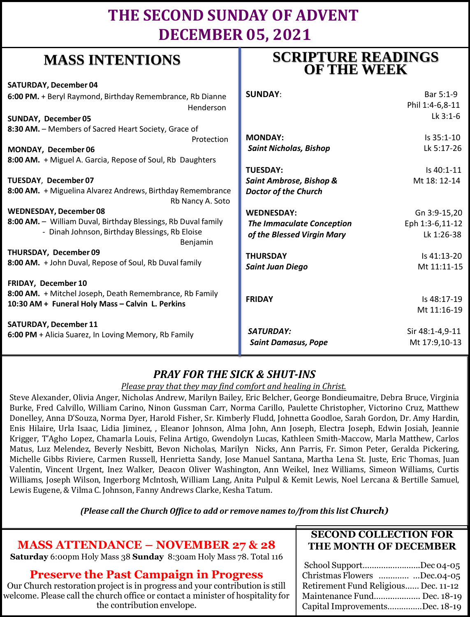# **THE SECOND SUNDAY OF ADVENT DECEMBER 05, 2021**

# **MASS INTENTIONS**

| <b>SATURDAY, December 04</b>                                                   |                                  |                 |
|--------------------------------------------------------------------------------|----------------------------------|-----------------|
| 6:00 PM. + Beryl Raymond, Birthday Remembrance, Rb Dianne                      | <b>SUNDAY:</b>                   | Bar 5:1-9       |
| Henderson                                                                      |                                  | Phil 1:4-6,8-11 |
| <b>SUNDAY, December 05</b>                                                     |                                  | Lk 3:1-6        |
| 8:30 AM. - Members of Sacred Heart Society, Grace of                           |                                  |                 |
| Protection                                                                     | <b>MONDAY:</b>                   | Is 35:1-10      |
| MONDAY, December 06                                                            | <b>Saint Nicholas, Bishop</b>    | Lk 5:17-26      |
| 8:00 AM. + Miguel A. Garcia, Repose of Soul, Rb Daughters                      |                                  |                 |
|                                                                                | <b>TUESDAY:</b>                  | Is 40:1-11      |
| TUESDAY, December 07                                                           | Saint Ambrose, Bishop &          | Mt 18: 12-14    |
| 8:00 AM. + Miguelina Alvarez Andrews, Birthday Remembrance<br>Rb Nancy A. Soto | <b>Doctor of the Church</b>      |                 |
| <b>WEDNESDAY, December 08</b>                                                  | <b>WEDNESDAY:</b>                | Gn 3:9-15,20    |
| 8:00 AM. - William Duval, Birthday Blessings, Rb Duval family                  | <b>The Immaculate Conception</b> | Eph 1:3-6,11-12 |
| - Dinah Johnson, Birthday Blessings, Rb Eloise<br>Benjamin                     | of the Blessed Virgin Mary       | Lk 1:26-38      |
| THURSDAY, December 09                                                          | <b>THURSDAY</b>                  | Is 41:13-20     |
| 8:00 AM. + John Duval, Repose of Soul, Rb Duval family                         | <b>Saint Juan Diego</b>          | Mt 11:11-15     |
|                                                                                |                                  |                 |
| FRIDAY, December 10                                                            |                                  |                 |
| 8:00 AM. + Mitchel Joseph, Death Remembrance, Rb Family                        |                                  |                 |
| 10:30 AM + Funeral Holy Mass - Calvin L. Perkins                               | <b>FRIDAY</b>                    | Is 48:17-19     |
|                                                                                |                                  | Mt 11:16-19     |
| <b>SATURDAY, December 11</b>                                                   |                                  |                 |
| 6:00 PM + Alicia Suarez, In Loving Memory, Rb Family                           | SATURDAY:                        | Sir 48:1-4,9-11 |
|                                                                                | <b>Saint Damasus, Pope</b>       | Mt 17:9,10-13   |
|                                                                                |                                  |                 |

## *PRAY FOR THE SICK & SHUT-INS*

*Please pray that they may find comfort and healing in Christ.*

Steve Alexander, Olivia Anger, Nicholas Andrew, Marilyn Bailey, Eric Belcher, George Bondieumaitre, Debra Bruce, Virginia Burke, Fred Calvillo, William Carino, Ninon Gussman Carr, Norma Carillo, Paulette Christopher, Victorino Cruz, Matthew Donelley, Anna D'Souza, Norma Dyer, Harold Fisher, Sr. Kimberly Fludd, Johnetta Goodloe, Sarah Gordon, Dr. Amy Hardin, Enis Hilaire, Urla Isaac, Lidia Jiminez, , Eleanor Johnson, Alma John, Ann Joseph, Electra Joseph, Edwin Josiah, Jeannie Krigger, T'Agho Lopez, Chamarla Louis, Felina Artigo, Gwendolyn Lucas, Kathleen Smith-Maccow, Marla Matthew, Carlos Matus, Luz Melendez, Beverly Nesbitt, Bevon Nicholas, Marilyn Nicks, Ann Parris, Fr. Simon Peter, Geralda Pickering, Michelle Gibbs Riviere, Carmen Russell, Henrietta Sandy, Jose Manuel Santana, Martha Lena St. Juste, Eric Thomas, Juan Valentin, Vincent Urgent, Inez Walker, Deacon Oliver Washington, Ann Weikel, Inez Williams, Simeon Williams, Curtis Williams, Joseph Wilson, Ingerborg McIntosh, William Lang, Anita Pulpul & Kemit Lewis, Noel Lercana & Bertille Samuel, Lewis Eugene, & Vilma C. Johnson, Fanny Andrews Clarke, Kesha Tatum.

*(Please call the Church Office to add or remove names to/from this list Church)*

# **MASS ATTENDANCE – NOVEMBER 27 & 28**

**Saturday** 6:00pm Holy Mass 38 **Sunday** 8:30am Holy Mass 78. Total 116

## **Preserve the Past Campaign in Progress**

Our Church restoration project is in progress and your contribution is still welcome. Please call the church office or contact a minister of hospitality for the contribution envelope.

## **SECOND COLLECTION FOR THE MONTH OF DECEMBER**

| School SupportDec 04-05              |  |
|--------------------------------------|--|
|                                      |  |
| Christmas Flowers  Dec.04-05         |  |
| Retirement Fund Religious Dec. 11-12 |  |
| Maintenance Fund Dec. 18-19          |  |
| Capital ImprovementsDec. 18-19       |  |

# **SCRIPTURE READINGS OF THE WEEK**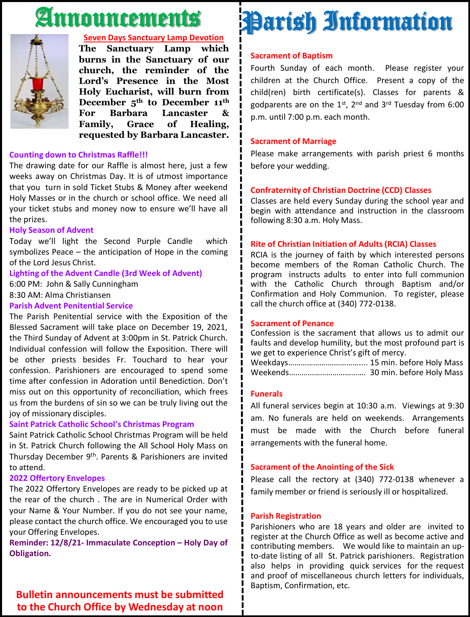# Announcements



### **Seven Days Sanctuary Lamp Devotion**

**The Sanctuary Lamp which burns in the Sanctuary of our church, the reminder of the Lord's Presence in the Most Holy Eucharist, will burn from December 5th to December 11th For Barbara Lancaster & Family, Grace of Healing, requested by Barbara Lancaster.**

#### **Counting down to Christmas Raffle!!!**

The drawing date for our Raffle is almost here, just a few weeks away on Christmas Day. It is of utmost importance that you turn in sold Ticket Stubs & Money after weekend Holy Masses or in the church or school office. We need all your ticket stubs and money now to ensure we'll have all the prizes.

#### **Holy Season of Advent**

Today we'll light the Second Purple Candle which symbolizes Peace – the anticipation of Hope in the coming of the Lord Jesus Christ.

## **Lighting of the Advent Candle (3rd Week of Advent)**

6:00 PM: John & Sally Cunningham

## 8:30 AM: Alma Christiansen

#### **Parish Advent Penitential Service**

The Parish Penitential service with the Exposition of the Blessed Sacrament will take place on December 19, 2021, the Third Sunday of Advent at 3:00pm in St. Patrick Church. Individual confession will follow the Exposition. There will be other priests besides Fr. Touchard to hear your confession. Parishioners are encouraged to spend some time after confession in Adoration until Benediction. Don't miss out on this opportunity of reconciliation, which frees us from the burdens of sin so we can be truly living out the joy of missionary disciples.

### **Saint Patrick Catholic School's Christmas Program**

Saint Patrick Catholic School Christmas Program will be held in St. Patrick Church following the All School Holy Mass on Thursday December 9<sup>th</sup>. Parents & Parishioners are invited to attend.

#### **2022 Offertory Envelopes**

The 2022 Offertory Envelopes are ready to be picked up at the rear of the church . The are in Numerical Order with your Name & Your Number. If you do not see your name, please contact the church office. We encouraged you to use your Offering Envelopes.

**Reminder: 12/8/21- Immaculate Conception – Holy Day of Obligation.**

## **Bulletin announcements must be submitted to the Church Office by Wednesday at noon**

# Parish Information

#### **Sacrament of Baptism**

Fourth Sunday of each month. Please register your children at the Church Office. Present a copy of the child(ren) birth certificate(s). Classes for parents & godparents are on the 1st, 2<sup>nd</sup> and 3<sup>rd</sup> Tuesday from 6:00 p.m. until 7:00 p.m. each month.

### **Sacrament of Marriage**

Please make arrangements with parish priest 6 months before your wedding.

### **Confraternity of Christian Doctrine (CCD) Classes**

Classes are held every Sunday during the school year and begin with attendance and instruction in the classroom following 8:30 a.m. Holy Mass.

### **Rite of Christian Initiation of Adults (RCIA) Classes**

RCIA is the journey of faith by which interested persons become members of the Roman Catholic Church. The program instructs adults to enter into full communion with the Catholic Church through Baptism and/or Confirmation and Holy Communion. To register, please call the church office at (340) 772-0138.

### **Sacrament of Penance**

Confession is the sacrament that allows us to admit our faults and develop humility, but the most profound part is we get to experience Christ's gift of mercy.

Weekdays……………….…………….... 15 min. before Holy Mass Weekends………………………………. 30 min. before Holy Mass

### **Funerals**

All funeral services begin at 10:30 a.m. Viewings at 9:30 am. No funerals are held on weekends. Arrangements must be made with the Church before funeral arrangements with the funeral home.

### **Sacrament of the Anointing of the Sick**

Please call the rectory at (340) 772-0138 whenever a family member or friend is seriously ill or hospitalized.

#### **Parish Registration**

Parishioners who are 18 years and older are invited to register at the Church Office as well as become active and contributing members. We would like to maintain an upto-date listing of all St. Patrick parishioners. Registration also helps in providing quick services for the request and proof of miscellaneous church letters for individuals, Baptism, Confirmation, etc.